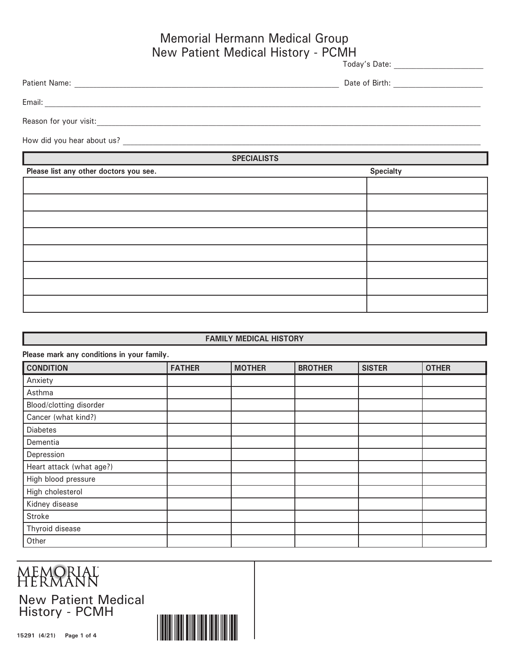### Memorial Hermann Medical Group New Patient Medical History - PCMH

| Today's Date:<br>.<br>_____ |
|-----------------------------|
|                             |

| <b>Patient Name:</b> | Date.<br>Birth: |
|----------------------|-----------------|
|                      |                 |

Email:  $\Box$ 

Reason for your visit: <u>with the set of the set of the set of the set of the set of the set of the set of the set of the set of the set of the set of the set of the set of the set of the set of the set of the set of the se</u>

How did you hear about us?

**SPECIALISTS**

| Please list any other doctors you see. | <b>Specialty</b> |
|----------------------------------------|------------------|
|                                        |                  |
|                                        |                  |
|                                        |                  |
|                                        |                  |
|                                        |                  |
|                                        |                  |
|                                        |                  |
|                                        |                  |

#### **FAMILY MEDICAL HISTORY**

| Please mark any conditions in your family. |               |               |                |               |              |
|--------------------------------------------|---------------|---------------|----------------|---------------|--------------|
| <b>CONDITION</b>                           | <b>FATHER</b> | <b>MOTHER</b> | <b>BROTHER</b> | <b>SISTER</b> | <b>OTHER</b> |
| Anxiety                                    |               |               |                |               |              |
| Asthma                                     |               |               |                |               |              |
| Blood/clotting disorder                    |               |               |                |               |              |
| Cancer (what kind?)                        |               |               |                |               |              |
| <b>Diabetes</b>                            |               |               |                |               |              |
| Dementia                                   |               |               |                |               |              |
| Depression                                 |               |               |                |               |              |
| Heart attack (what age?)                   |               |               |                |               |              |
| High blood pressure                        |               |               |                |               |              |
| High cholesterol                           |               |               |                |               |              |
| Kidney disease                             |               |               |                |               |              |
| <b>Stroke</b>                              |               |               |                |               |              |
| Thyroid disease                            |               |               |                |               |              |
| Other                                      |               |               |                |               |              |

## MEMORIAL<br>HERMANN

New Patient Medical History - PCMH

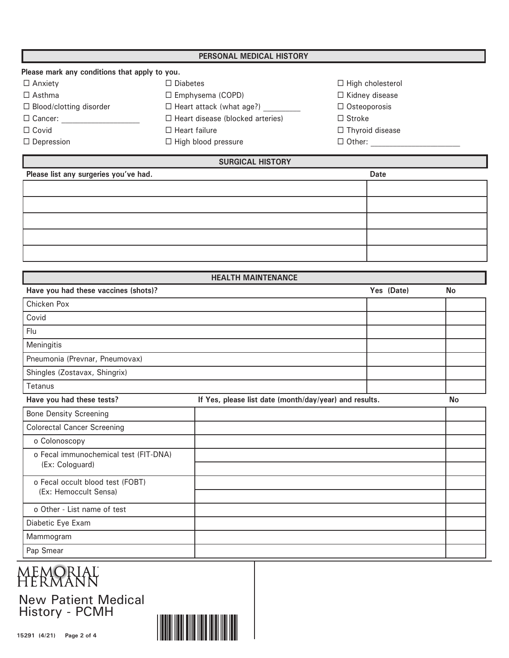| PERSONAL MEDICAL HISTORY       |                                               |                         |  |  |  |
|--------------------------------|-----------------------------------------------|-------------------------|--|--|--|
|                                | Please mark any conditions that apply to you. |                         |  |  |  |
| $\Box$ Anxiety                 | $\Box$ Diabetes                               | $\Box$ High cholesterol |  |  |  |
| $\Box$ Asthma                  | $\Box$ Emphysema (COPD)                       | $\Box$ Kidney disease   |  |  |  |
| $\Box$ Blood/clotting disorder | $\Box$ Heart attack (what age?)               | $\Box$ Osteoporosis     |  |  |  |
| $\Box$ Cancer:                 | $\Box$ Heart disease (blocked arteries)       | $\Box$ Stroke           |  |  |  |
| $\Box$ Covid                   | $\Box$ Heart failure                          | $\Box$ Thyroid disease  |  |  |  |
| $\Box$ Depression              | $\Box$ High blood pressure                    | $\Box$ Other:           |  |  |  |

### **SURGICAL HISTORY**

| Please list any surgeries you've had. | <b>Date</b> |
|---------------------------------------|-------------|
|                                       |             |
|                                       |             |
|                                       |             |
|                                       |             |
|                                       |             |

| <b>HEALTH MAINTENANCE</b>             |                                                        |            |           |  |  |
|---------------------------------------|--------------------------------------------------------|------------|-----------|--|--|
| Have you had these vaccines (shots)?  |                                                        | Yes (Date) | <b>No</b> |  |  |
| Chicken Pox                           |                                                        |            |           |  |  |
| Covid                                 |                                                        |            |           |  |  |
| Flu                                   |                                                        |            |           |  |  |
| Meningitis                            |                                                        |            |           |  |  |
| Pneumonia (Prevnar, Pneumovax)        |                                                        |            |           |  |  |
| Shingles (Zostavax, Shingrix)         |                                                        |            |           |  |  |
| Tetanus                               |                                                        |            |           |  |  |
| Have you had these tests?             | If Yes, please list date (month/day/year) and results. |            | <b>No</b> |  |  |
| <b>Bone Density Screening</b>         |                                                        |            |           |  |  |
| <b>Colorectal Cancer Screening</b>    |                                                        |            |           |  |  |
| o Colonoscopy                         |                                                        |            |           |  |  |
| o Fecal immunochemical test (FIT-DNA) |                                                        |            |           |  |  |
| (Ex: Cologuard)                       |                                                        |            |           |  |  |
| o Fecal occult blood test (FOBT)      |                                                        |            |           |  |  |
| (Ex: Hemoccult Sensa)                 |                                                        |            |           |  |  |
| o Other - List name of test           |                                                        |            |           |  |  |
| Diabetic Eye Exam                     |                                                        |            |           |  |  |
| Mammogram                             |                                                        |            |           |  |  |
| Pap Smear                             |                                                        |            |           |  |  |

# **MEMORIAL**<br>HERMANN

New Patient Medical History - PCMH

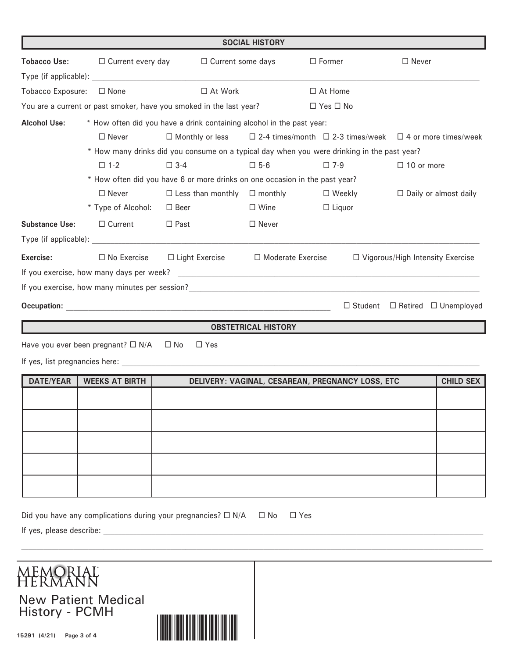|                          |                                            |                                                                                                                                                                                                                                | <b>SOCIAL HISTORY</b>      |                                                                                             |                                         |                  |
|--------------------------|--------------------------------------------|--------------------------------------------------------------------------------------------------------------------------------------------------------------------------------------------------------------------------------|----------------------------|---------------------------------------------------------------------------------------------|-----------------------------------------|------------------|
| <b>Tobacco Use:</b>      | $\Box$ Current every day                   | $\Box$ Current some days                                                                                                                                                                                                       |                            | $\Box$ Former                                                                               | $\Box$ Never                            |                  |
|                          |                                            |                                                                                                                                                                                                                                |                            |                                                                                             |                                         |                  |
| Tobacco Exposure:        | $\Box$ None                                | $\Box$ At Work                                                                                                                                                                                                                 |                            | $\Box$ At Home                                                                              |                                         |                  |
|                          |                                            | You are a current or past smoker, have you smoked in the last year?                                                                                                                                                            |                            | $\Box$ Yes $\Box$ No                                                                        |                                         |                  |
| <b>Alcohol Use:</b>      |                                            | * How often did you have a drink containing alcohol in the past year:                                                                                                                                                          |                            |                                                                                             |                                         |                  |
|                          | $\Box$ Never                               | $\Box$ Monthly or less                                                                                                                                                                                                         |                            | $\Box$ 2-4 times/month $\Box$ 2-3 times/week $\Box$ 4 or more times/week                    |                                         |                  |
|                          |                                            |                                                                                                                                                                                                                                |                            | * How many drinks did you consume on a typical day when you were drinking in the past year? |                                         |                  |
|                          | $\square$ 1-2                              | $\square$ 3-4                                                                                                                                                                                                                  | $\square$ 5-6              | $\square$ 7-9                                                                               | $\Box$ 10 or more                       |                  |
|                          |                                            | * How often did you have 6 or more drinks on one occasion in the past year?                                                                                                                                                    |                            |                                                                                             |                                         |                  |
|                          | $\Box$ Never                               | $\Box$ Less than monthly $\Box$ monthly                                                                                                                                                                                        |                            | $\Box$ Weekly                                                                               | $\Box$ Daily or almost daily            |                  |
|                          | * Type of Alcohol:                         | $\Box$ Beer                                                                                                                                                                                                                    | $\Box$ Wine                | $\Box$ Liquor                                                                               |                                         |                  |
| <b>Substance Use:</b>    | $\Box$ Current                             | $\Box$ Past                                                                                                                                                                                                                    | $\Box$ Never               |                                                                                             |                                         |                  |
|                          |                                            |                                                                                                                                                                                                                                |                            |                                                                                             |                                         |                  |
| Exercise:                | $\Box$ No Exercise                         | $\Box$ Light Exercise                                                                                                                                                                                                          | □ Moderate Exercise        |                                                                                             | $\Box$ Vigorous/High Intensity Exercise |                  |
|                          |                                            |                                                                                                                                                                                                                                |                            |                                                                                             |                                         |                  |
|                          |                                            |                                                                                                                                                                                                                                |                            |                                                                                             |                                         |                  |
|                          |                                            |                                                                                                                                                                                                                                |                            | $\Box$ Student                                                                              | $\Box$ Retired $\Box$ Unemployed        |                  |
|                          |                                            |                                                                                                                                                                                                                                | <b>OBSTETRICAL HISTORY</b> |                                                                                             |                                         |                  |
|                          | Have you ever been pregnant? $\square$ N/A | $\square$ No<br>$\Box$ Yes                                                                                                                                                                                                     |                            |                                                                                             |                                         |                  |
|                          |                                            | If yes, list pregnancies here: experience of the state of the state of the state of the state of the state of the state of the state of the state of the state of the state of the state of the state of the state of the stat |                            |                                                                                             |                                         |                  |
| <b>DATE/YEAR</b>         | <b>WEEKS AT BIRTH</b>                      |                                                                                                                                                                                                                                |                            | DELIVERY: VAGINAL, CESAREAN, PREGNANCY LOSS, ETC                                            |                                         | <b>CHILD SEX</b> |
|                          |                                            |                                                                                                                                                                                                                                |                            |                                                                                             |                                         |                  |
|                          |                                            |                                                                                                                                                                                                                                |                            |                                                                                             |                                         |                  |
|                          |                                            |                                                                                                                                                                                                                                |                            |                                                                                             |                                         |                  |
|                          |                                            |                                                                                                                                                                                                                                |                            |                                                                                             |                                         |                  |
|                          |                                            |                                                                                                                                                                                                                                |                            |                                                                                             |                                         |                  |
|                          |                                            |                                                                                                                                                                                                                                |                            |                                                                                             |                                         |                  |
| If yes, please describe: |                                            | Did you have any complications during your pregnancies? $\square$ N/A                                                                                                                                                          | $\Box$ No                  | $\Box$ Yes                                                                                  |                                         |                  |